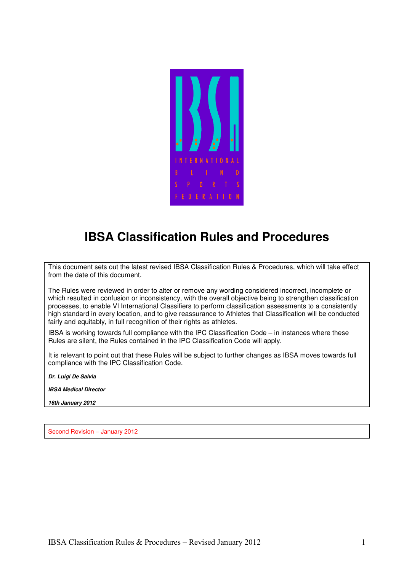

# **IBSA Classification Rules and Procedures**

This document sets out the latest revised IBSA Classification Rules & Procedures, which will take effect from the date of this document.

The Rules were reviewed in order to alter or remove any wording considered incorrect, incomplete or which resulted in confusion or inconsistency, with the overall objective being to strengthen classification processes, to enable VI International Classifiers to perform classification assessments to a consistently high standard in every location, and to give reassurance to Athletes that Classification will be conducted fairly and equitably, in full recognition of their rights as athletes.

IBSA is working towards full compliance with the IPC Classification Code – in instances where these Rules are silent, the Rules contained in the IPC Classification Code will apply.

It is relevant to point out that these Rules will be subject to further changes as IBSA moves towards full compliance with the IPC Classification Code.

**Dr. Luigi De Salvia** 

**IBSA Medical Director** 

**16th January 2012** 

Second Revision – January 2012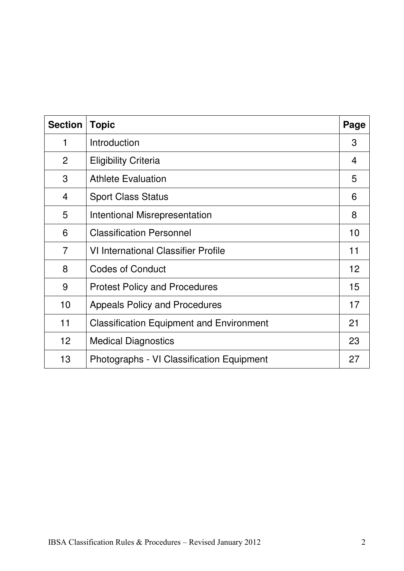| <b>Section</b>  | <b>Topic</b>                                    | Page            |
|-----------------|-------------------------------------------------|-----------------|
| 1               | Introduction                                    | 3               |
| $\overline{2}$  | <b>Eligibility Criteria</b>                     | 4               |
| 3               | <b>Athlete Evaluation</b>                       | 5               |
| $\overline{4}$  | <b>Sport Class Status</b>                       | 6               |
| 5               | <b>Intentional Misrepresentation</b>            | 8               |
| 6               | <b>Classification Personnel</b>                 | 10              |
| $\overline{7}$  | <b>VI International Classifier Profile</b>      | 11              |
| 8               | <b>Codes of Conduct</b>                         | 12 <sup>2</sup> |
| 9               | <b>Protest Policy and Procedures</b>            | 15              |
| 10              | <b>Appeals Policy and Procedures</b>            | 17              |
| 11              | <b>Classification Equipment and Environment</b> | 21              |
| 12 <sub>2</sub> | <b>Medical Diagnostics</b>                      | 23              |
| 13              | Photographs - VI Classification Equipment       | 27              |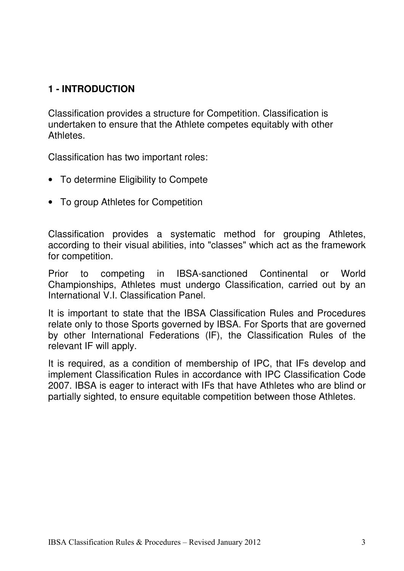## **1 - INTRODUCTION**

Classification provides a structure for Competition. Classification is undertaken to ensure that the Athlete competes equitably with other Athletes.

Classification has two important roles:

- To determine Eligibility to Compete
- To group Athletes for Competition

Classification provides a systematic method for grouping Athletes, according to their visual abilities, into "classes" which act as the framework for competition.

Prior to competing in IBSA-sanctioned Continental or World Championships, Athletes must undergo Classification, carried out by an International V.I. Classification Panel.

It is important to state that the IBSA Classification Rules and Procedures relate only to those Sports governed by IBSA. For Sports that are governed by other International Federations (IF), the Classification Rules of the relevant IF will apply.

It is required, as a condition of membership of IPC, that IFs develop and implement Classification Rules in accordance with IPC Classification Code 2007. IBSA is eager to interact with IFs that have Athletes who are blind or partially sighted, to ensure equitable competition between those Athletes.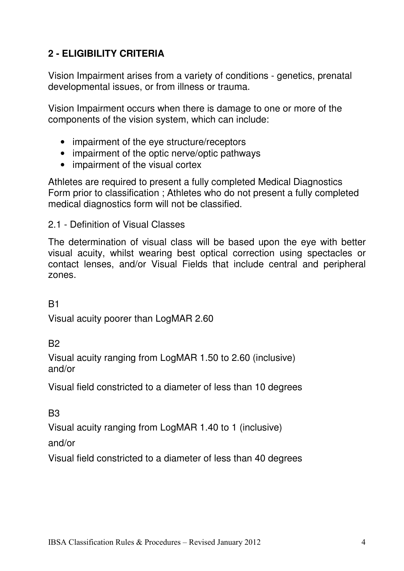## **2 - ELIGIBILITY CRITERIA**

Vision Impairment arises from a variety of conditions - genetics, prenatal developmental issues, or from illness or trauma.

Vision Impairment occurs when there is damage to one or more of the components of the vision system, which can include:

- impairment of the eye structure/receptors
- impairment of the optic nerve/optic pathways
- impairment of the visual cortex

Athletes are required to present a fully completed Medical Diagnostics Form prior to classification ; Athletes who do not present a fully completed medical diagnostics form will not be classified.

2.1 - Definition of Visual Classes

The determination of visual class will be based upon the eye with better visual acuity, whilst wearing best optical correction using spectacles or contact lenses, and/or Visual Fields that include central and peripheral zones.

B1

Visual acuity poorer than LogMAR 2.60

B2

Visual acuity ranging from LogMAR 1.50 to 2.60 (inclusive) and/or

Visual field constricted to a diameter of less than 10 degrees

B<sub>3</sub>

Visual acuity ranging from LogMAR 1.40 to 1 (inclusive)

and/or

Visual field constricted to a diameter of less than 40 degrees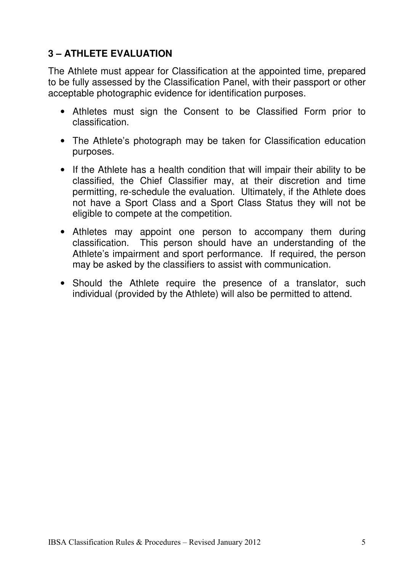## **3 – ATHLETE EVALUATION**

The Athlete must appear for Classification at the appointed time, prepared to be fully assessed by the Classification Panel, with their passport or other acceptable photographic evidence for identification purposes.

- Athletes must sign the Consent to be Classified Form prior to classification.
- The Athlete's photograph may be taken for Classification education purposes.
- If the Athlete has a health condition that will impair their ability to be classified, the Chief Classifier may, at their discretion and time permitting, re-schedule the evaluation. Ultimately, if the Athlete does not have a Sport Class and a Sport Class Status they will not be eligible to compete at the competition.
- Athletes may appoint one person to accompany them during classification. This person should have an understanding of the Athlete's impairment and sport performance. If required, the person may be asked by the classifiers to assist with communication.
- Should the Athlete require the presence of a translator, such individual (provided by the Athlete) will also be permitted to attend.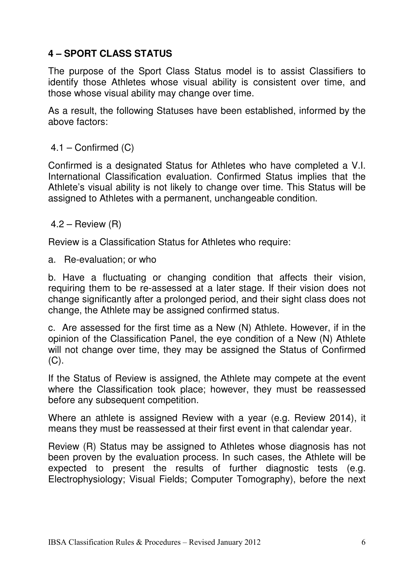## **4 – SPORT CLASS STATUS**

The purpose of the Sport Class Status model is to assist Classifiers to identify those Athletes whose visual ability is consistent over time, and those whose visual ability may change over time.

As a result, the following Statuses have been established, informed by the above factors:

### 4.1 – Confirmed (C)

Confirmed is a designated Status for Athletes who have completed a V.I. International Classification evaluation. Confirmed Status implies that the Athlete's visual ability is not likely to change over time. This Status will be assigned to Athletes with a permanent, unchangeable condition.

 $4.2$  – Review  $(R)$ 

Review is a Classification Status for Athletes who require:

a. Re-evaluation; or who

b. Have a fluctuating or changing condition that affects their vision, requiring them to be re-assessed at a later stage. If their vision does not change significantly after a prolonged period, and their sight class does not change, the Athlete may be assigned confirmed status.

c. Are assessed for the first time as a New (N) Athlete. However, if in the opinion of the Classification Panel, the eye condition of a New (N) Athlete will not change over time, they may be assigned the Status of Confirmed  $(C)$ .

If the Status of Review is assigned, the Athlete may compete at the event where the Classification took place; however, they must be reassessed before any subsequent competition.

Where an athlete is assigned Review with a year (e.g. Review 2014), it means they must be reassessed at their first event in that calendar year.

Review (R) Status may be assigned to Athletes whose diagnosis has not been proven by the evaluation process. In such cases, the Athlete will be expected to present the results of further diagnostic tests (e.g. Electrophysiology; Visual Fields; Computer Tomography), before the next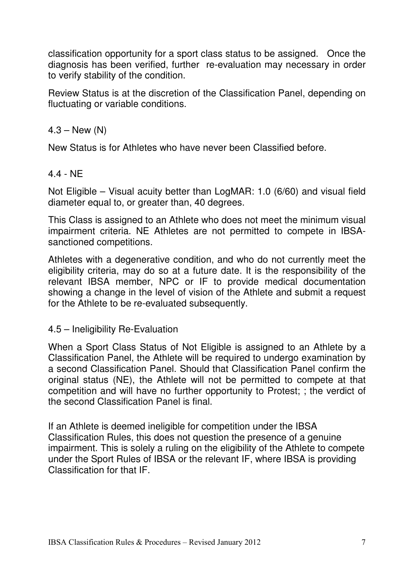classification opportunity for a sport class status to be assigned. Once the diagnosis has been verified, further re-evaluation may necessary in order to verify stability of the condition.

Review Status is at the discretion of the Classification Panel, depending on fluctuating or variable conditions.

### $4.3 - New (N)$

New Status is for Athletes who have never been Classified before.

### 4.4 - NE

Not Eligible – Visual acuity better than LogMAR: 1.0 (6/60) and visual field diameter equal to, or greater than, 40 degrees.

This Class is assigned to an Athlete who does not meet the minimum visual impairment criteria. NE Athletes are not permitted to compete in IBSAsanctioned competitions.

Athletes with a degenerative condition, and who do not currently meet the eligibility criteria, may do so at a future date. It is the responsibility of the relevant IBSA member, NPC or IF to provide medical documentation showing a change in the level of vision of the Athlete and submit a request for the Athlete to be re-evaluated subsequently.

### 4.5 – Ineligibility Re-Evaluation

When a Sport Class Status of Not Eligible is assigned to an Athlete by a Classification Panel, the Athlete will be required to undergo examination by a second Classification Panel. Should that Classification Panel confirm the original status (NE), the Athlete will not be permitted to compete at that competition and will have no further opportunity to Protest; ; the verdict of the second Classification Panel is final.

If an Athlete is deemed ineligible for competition under the IBSA Classification Rules, this does not question the presence of a genuine impairment. This is solely a ruling on the eligibility of the Athlete to compete under the Sport Rules of IBSA or the relevant IF, where IBSA is providing Classification for that IF.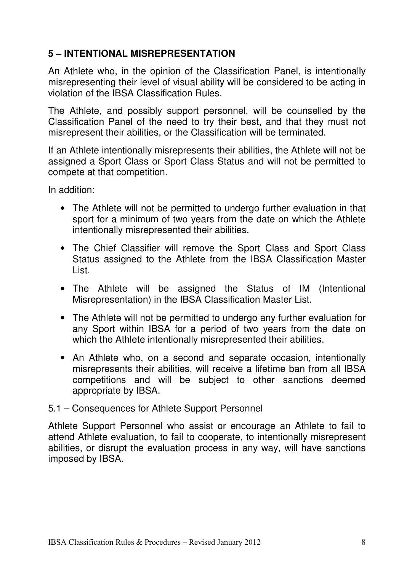## **5 – INTENTIONAL MISREPRESENTATION**

An Athlete who, in the opinion of the Classification Panel, is intentionally misrepresenting their level of visual ability will be considered to be acting in violation of the IBSA Classification Rules.

The Athlete, and possibly support personnel, will be counselled by the Classification Panel of the need to try their best, and that they must not misrepresent their abilities, or the Classification will be terminated.

If an Athlete intentionally misrepresents their abilities, the Athlete will not be assigned a Sport Class or Sport Class Status and will not be permitted to compete at that competition.

In addition:

- The Athlete will not be permitted to undergo further evaluation in that sport for a minimum of two years from the date on which the Athlete intentionally misrepresented their abilities.
- The Chief Classifier will remove the Sport Class and Sport Class Status assigned to the Athlete from the IBSA Classification Master List.
- The Athlete will be assigned the Status of IM (Intentional Misrepresentation) in the IBSA Classification Master List.
- The Athlete will not be permitted to undergo any further evaluation for any Sport within IBSA for a period of two years from the date on which the Athlete intentionally misrepresented their abilities.
- An Athlete who, on a second and separate occasion, intentionally misrepresents their abilities, will receive a lifetime ban from all IBSA competitions and will be subject to other sanctions deemed appropriate by IBSA.
- 5.1 Consequences for Athlete Support Personnel

Athlete Support Personnel who assist or encourage an Athlete to fail to attend Athlete evaluation, to fail to cooperate, to intentionally misrepresent abilities, or disrupt the evaluation process in any way, will have sanctions imposed by IBSA.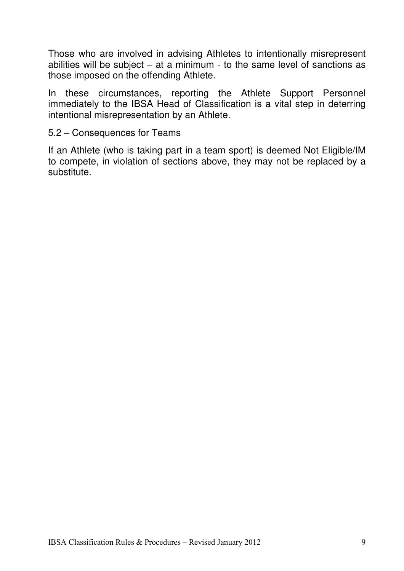Those who are involved in advising Athletes to intentionally misrepresent abilities will be subject – at a minimum - to the same level of sanctions as those imposed on the offending Athlete.

In these circumstances, reporting the Athlete Support Personnel immediately to the IBSA Head of Classification is a vital step in deterring intentional misrepresentation by an Athlete.

### 5.2 – Consequences for Teams

If an Athlete (who is taking part in a team sport) is deemed Not Eligible/IM to compete, in violation of sections above, they may not be replaced by a substitute.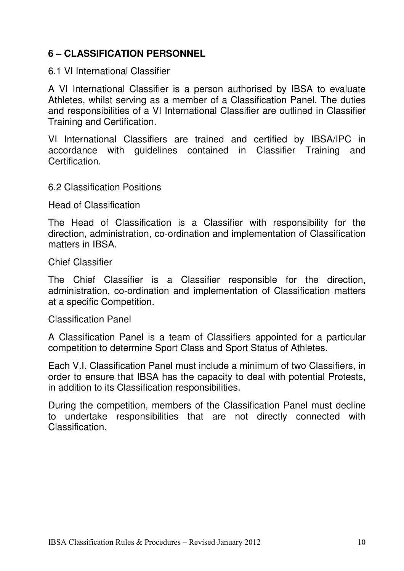## **6 – CLASSIFICATION PERSONNEL**

6.1 VI International Classifier

A VI International Classifier is a person authorised by IBSA to evaluate Athletes, whilst serving as a member of a Classification Panel. The duties and responsibilities of a VI International Classifier are outlined in Classifier Training and Certification.

VI International Classifiers are trained and certified by IBSA/IPC in accordance with guidelines contained in Classifier Training and **Certification** 

### 6.2 Classification Positions

Head of Classification

The Head of Classification is a Classifier with responsibility for the direction, administration, co-ordination and implementation of Classification matters in IBSA.

Chief Classifier

The Chief Classifier is a Classifier responsible for the direction, administration, co-ordination and implementation of Classification matters at a specific Competition.

Classification Panel

A Classification Panel is a team of Classifiers appointed for a particular competition to determine Sport Class and Sport Status of Athletes.

Each V.I. Classification Panel must include a minimum of two Classifiers, in order to ensure that IBSA has the capacity to deal with potential Protests, in addition to its Classification responsibilities.

During the competition, members of the Classification Panel must decline to undertake responsibilities that are not directly connected with Classification.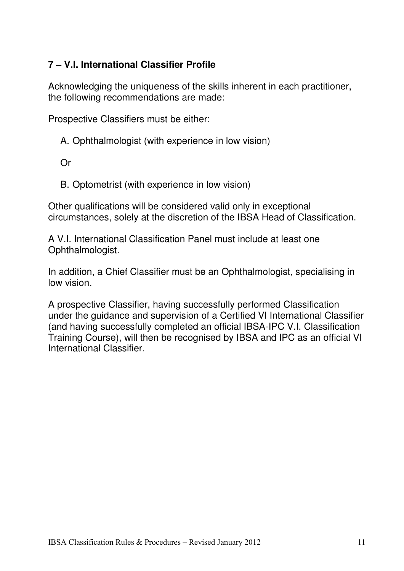## **7 – V.I. International Classifier Profile**

Acknowledging the uniqueness of the skills inherent in each practitioner, the following recommendations are made:

Prospective Classifiers must be either:

- A. Ophthalmologist (with experience in low vision)
- Or
- B. Optometrist (with experience in low vision)

Other qualifications will be considered valid only in exceptional circumstances, solely at the discretion of the IBSA Head of Classification.

A V.I. International Classification Panel must include at least one Ophthalmologist.

In addition, a Chief Classifier must be an Ophthalmologist, specialising in low vision.

A prospective Classifier, having successfully performed Classification under the guidance and supervision of a Certified VI International Classifier (and having successfully completed an official IBSA-IPC V.I. Classification Training Course), will then be recognised by IBSA and IPC as an official VI International Classifier.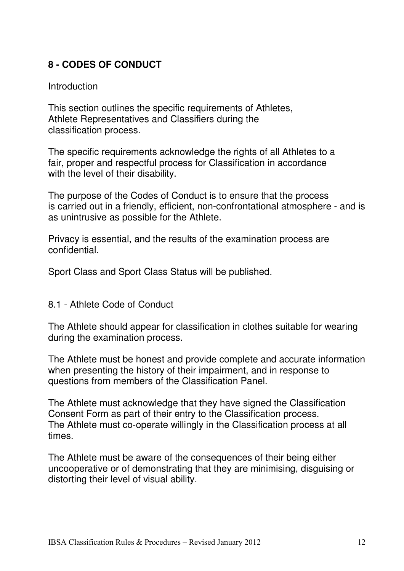## **8 - CODES OF CONDUCT**

#### Introduction

This section outlines the specific requirements of Athletes, Athlete Representatives and Classifiers during the classification process.

The specific requirements acknowledge the rights of all Athletes to a fair, proper and respectful process for Classification in accordance with the level of their disability.

The purpose of the Codes of Conduct is to ensure that the process is carried out in a friendly, efficient, non-confrontational atmosphere - and is as unintrusive as possible for the Athlete.

Privacy is essential, and the results of the examination process are confidential.

Sport Class and Sport Class Status will be published.

8.1 - Athlete Code of Conduct

The Athlete should appear for classification in clothes suitable for wearing during the examination process.

The Athlete must be honest and provide complete and accurate information when presenting the history of their impairment, and in response to questions from members of the Classification Panel.

The Athlete must acknowledge that they have signed the Classification Consent Form as part of their entry to the Classification process. The Athlete must co-operate willingly in the Classification process at all times.

The Athlete must be aware of the consequences of their being either uncooperative or of demonstrating that they are minimising, disguising or distorting their level of visual ability.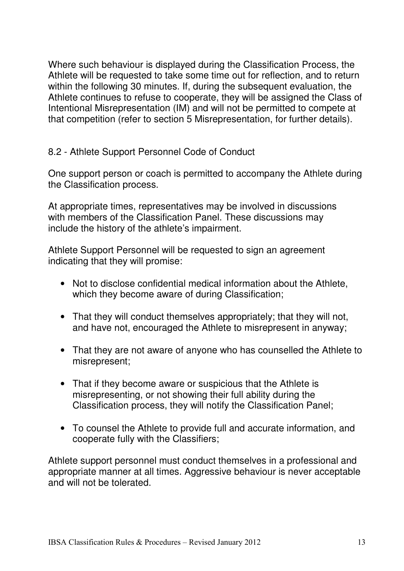Where such behaviour is displayed during the Classification Process, the Athlete will be requested to take some time out for reflection, and to return within the following 30 minutes. If, during the subsequent evaluation, the Athlete continues to refuse to cooperate, they will be assigned the Class of Intentional Misrepresentation (IM) and will not be permitted to compete at that competition (refer to section 5 Misrepresentation, for further details).

## 8.2 - Athlete Support Personnel Code of Conduct

One support person or coach is permitted to accompany the Athlete during the Classification process.

At appropriate times, representatives may be involved in discussions with members of the Classification Panel. These discussions may include the history of the athlete's impairment.

Athlete Support Personnel will be requested to sign an agreement indicating that they will promise:

- Not to disclose confidential medical information about the Athlete, which they become aware of during Classification:
- That they will conduct themselves appropriately; that they will not, and have not, encouraged the Athlete to misrepresent in anyway;
- That they are not aware of anyone who has counselled the Athlete to misrepresent;
- That if they become aware or suspicious that the Athlete is misrepresenting, or not showing their full ability during the Classification process, they will notify the Classification Panel;
- To counsel the Athlete to provide full and accurate information, and cooperate fully with the Classifiers;

Athlete support personnel must conduct themselves in a professional and appropriate manner at all times. Aggressive behaviour is never acceptable and will not be tolerated.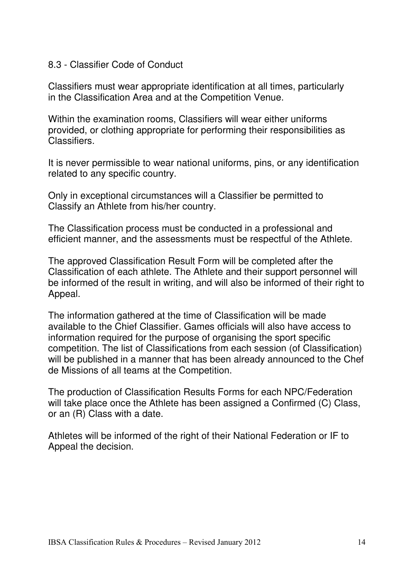### 8.3 - Classifier Code of Conduct

Classifiers must wear appropriate identification at all times, particularly in the Classification Area and at the Competition Venue.

Within the examination rooms, Classifiers will wear either uniforms provided, or clothing appropriate for performing their responsibilities as Classifiers.

It is never permissible to wear national uniforms, pins, or any identification related to any specific country.

Only in exceptional circumstances will a Classifier be permitted to Classify an Athlete from his/her country.

The Classification process must be conducted in a professional and efficient manner, and the assessments must be respectful of the Athlete.

The approved Classification Result Form will be completed after the Classification of each athlete. The Athlete and their support personnel will be informed of the result in writing, and will also be informed of their right to Appeal.

The information gathered at the time of Classification will be made available to the Chief Classifier. Games officials will also have access to information required for the purpose of organising the sport specific competition. The list of Classifications from each session (of Classification) will be published in a manner that has been already announced to the Chef de Missions of all teams at the Competition.

The production of Classification Results Forms for each NPC/Federation will take place once the Athlete has been assigned a Confirmed (C) Class, or an (R) Class with a date.

Athletes will be informed of the right of their National Federation or IF to Appeal the decision.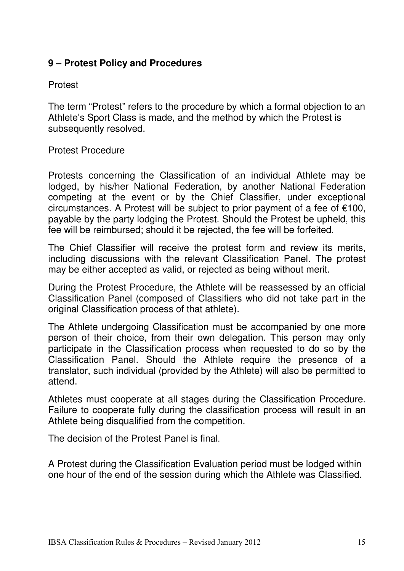## **9 – Protest Policy and Procedures**

### Protest

The term "Protest" refers to the procedure by which a formal objection to an Athlete's Sport Class is made, and the method by which the Protest is subsequently resolved.

### Protest Procedure

Protests concerning the Classification of an individual Athlete may be lodged, by his/her National Federation, by another National Federation competing at the event or by the Chief Classifier, under exceptional circumstances. A Protest will be subject to prior payment of a fee of €100, payable by the party lodging the Protest. Should the Protest be upheld, this fee will be reimbursed; should it be rejected, the fee will be forfeited.

The Chief Classifier will receive the protest form and review its merits, including discussions with the relevant Classification Panel. The protest may be either accepted as valid, or rejected as being without merit.

During the Protest Procedure, the Athlete will be reassessed by an official Classification Panel (composed of Classifiers who did not take part in the original Classification process of that athlete).

The Athlete undergoing Classification must be accompanied by one more person of their choice, from their own delegation. This person may only participate in the Classification process when requested to do so by the Classification Panel. Should the Athlete require the presence of a translator, such individual (provided by the Athlete) will also be permitted to attend.

Athletes must cooperate at all stages during the Classification Procedure. Failure to cooperate fully during the classification process will result in an Athlete being disqualified from the competition.

The decision of the Protest Panel is final.

A Protest during the Classification Evaluation period must be lodged within one hour of the end of the session during which the Athlete was Classified.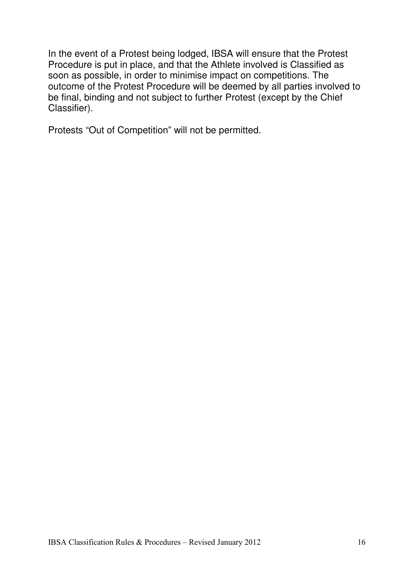In the event of a Protest being lodged, IBSA will ensure that the Protest Procedure is put in place, and that the Athlete involved is Classified as soon as possible, in order to minimise impact on competitions. The outcome of the Protest Procedure will be deemed by all parties involved to be final, binding and not subject to further Protest (except by the Chief Classifier).

Protests "Out of Competition" will not be permitted.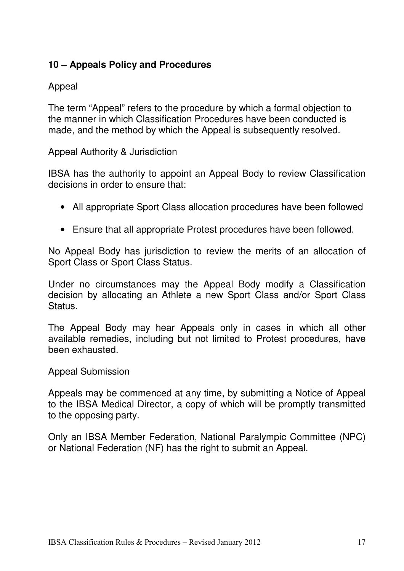## **10 – Appeals Policy and Procedures**

## Appeal

The term "Appeal" refers to the procedure by which a formal objection to the manner in which Classification Procedures have been conducted is made, and the method by which the Appeal is subsequently resolved.

Appeal Authority & Jurisdiction

IBSA has the authority to appoint an Appeal Body to review Classification decisions in order to ensure that:

- All appropriate Sport Class allocation procedures have been followed
- Ensure that all appropriate Protest procedures have been followed.

No Appeal Body has jurisdiction to review the merits of an allocation of Sport Class or Sport Class Status.

Under no circumstances may the Appeal Body modify a Classification decision by allocating an Athlete a new Sport Class and/or Sport Class Status.

The Appeal Body may hear Appeals only in cases in which all other available remedies, including but not limited to Protest procedures, have been exhausted.

Appeal Submission

Appeals may be commenced at any time, by submitting a Notice of Appeal to the IBSA Medical Director, a copy of which will be promptly transmitted to the opposing party.

Only an IBSA Member Federation, National Paralympic Committee (NPC) or National Federation (NF) has the right to submit an Appeal.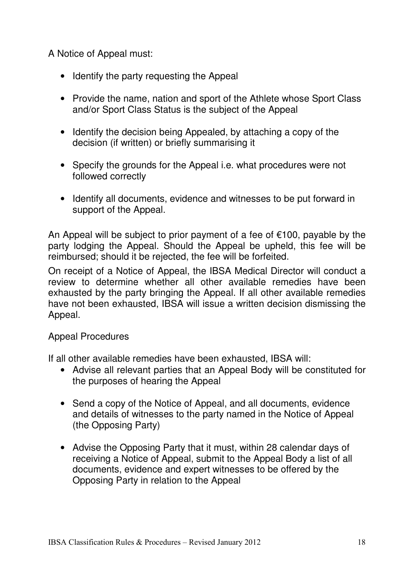A Notice of Appeal must:

- Identify the party requesting the Appeal
- Provide the name, nation and sport of the Athlete whose Sport Class and/or Sport Class Status is the subject of the Appeal
- Identify the decision being Appealed, by attaching a copy of the decision (if written) or briefly summarising it
- Specify the grounds for the Appeal i.e. what procedures were not followed correctly
- Identify all documents, evidence and witnesses to be put forward in support of the Appeal.

An Appeal will be subject to prior payment of a fee of  $\epsilon$ 100, payable by the party lodging the Appeal. Should the Appeal be upheld, this fee will be reimbursed; should it be rejected, the fee will be forfeited.

On receipt of a Notice of Appeal, the IBSA Medical Director will conduct a review to determine whether all other available remedies have been exhausted by the party bringing the Appeal. If all other available remedies have not been exhausted, IBSA will issue a written decision dismissing the Appeal.

## Appeal Procedures

If all other available remedies have been exhausted, IBSA will:

- Advise all relevant parties that an Appeal Body will be constituted for the purposes of hearing the Appeal
- Send a copy of the Notice of Appeal, and all documents, evidence and details of witnesses to the party named in the Notice of Appeal (the Opposing Party)
- Advise the Opposing Party that it must, within 28 calendar days of receiving a Notice of Appeal, submit to the Appeal Body a list of all documents, evidence and expert witnesses to be offered by the Opposing Party in relation to the Appeal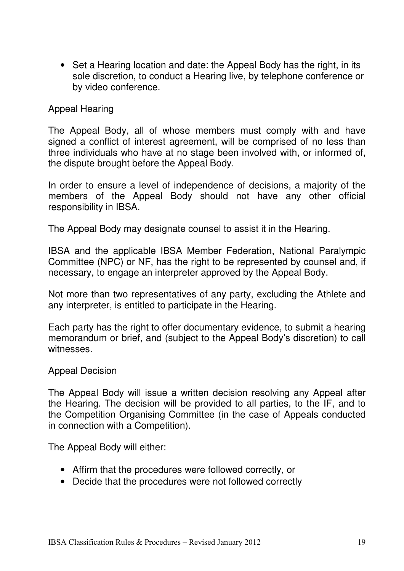• Set a Hearing location and date: the Appeal Body has the right, in its sole discretion, to conduct a Hearing live, by telephone conference or by video conference.

### Appeal Hearing

The Appeal Body, all of whose members must comply with and have signed a conflict of interest agreement, will be comprised of no less than three individuals who have at no stage been involved with, or informed of, the dispute brought before the Appeal Body.

In order to ensure a level of independence of decisions, a majority of the members of the Appeal Body should not have any other official responsibility in IBSA.

The Appeal Body may designate counsel to assist it in the Hearing.

IBSA and the applicable IBSA Member Federation, National Paralympic Committee (NPC) or NF, has the right to be represented by counsel and, if necessary, to engage an interpreter approved by the Appeal Body.

Not more than two representatives of any party, excluding the Athlete and any interpreter, is entitled to participate in the Hearing.

Each party has the right to offer documentary evidence, to submit a hearing memorandum or brief, and (subject to the Appeal Body's discretion) to call witnesses.

#### Appeal Decision

The Appeal Body will issue a written decision resolving any Appeal after the Hearing. The decision will be provided to all parties, to the IF, and to the Competition Organising Committee (in the case of Appeals conducted in connection with a Competition).

The Appeal Body will either:

- Affirm that the procedures were followed correctly, or
- Decide that the procedures were not followed correctly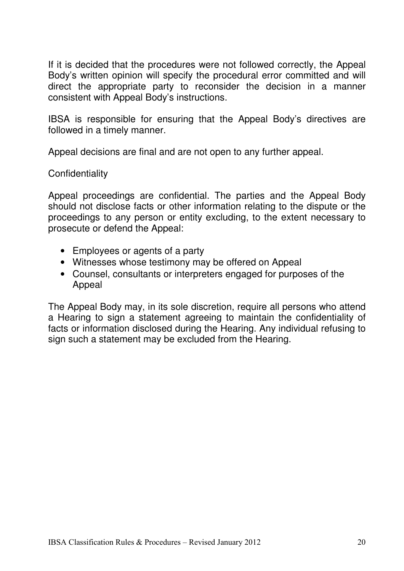If it is decided that the procedures were not followed correctly, the Appeal Body's written opinion will specify the procedural error committed and will direct the appropriate party to reconsider the decision in a manner consistent with Appeal Body's instructions.

IBSA is responsible for ensuring that the Appeal Body's directives are followed in a timely manner.

Appeal decisions are final and are not open to any further appeal.

### **Confidentiality**

Appeal proceedings are confidential. The parties and the Appeal Body should not disclose facts or other information relating to the dispute or the proceedings to any person or entity excluding, to the extent necessary to prosecute or defend the Appeal:

- Employees or agents of a party
- Witnesses whose testimony may be offered on Appeal
- Counsel, consultants or interpreters engaged for purposes of the Appeal

The Appeal Body may, in its sole discretion, require all persons who attend a Hearing to sign a statement agreeing to maintain the confidentiality of facts or information disclosed during the Hearing. Any individual refusing to sign such a statement may be excluded from the Hearing.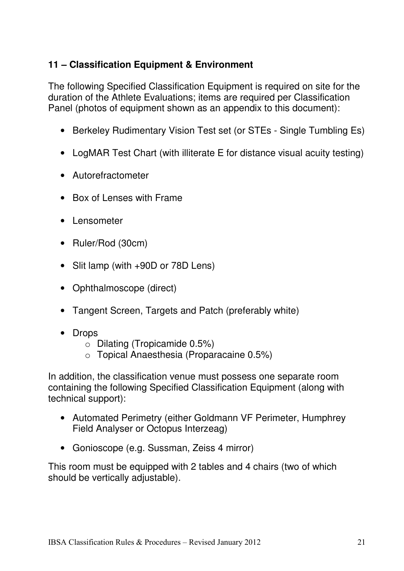## **11 – Classification Equipment & Environment**

The following Specified Classification Equipment is required on site for the duration of the Athlete Evaluations; items are required per Classification Panel (photos of equipment shown as an appendix to this document):

- Berkeley Rudimentary Vision Test set (or STEs Single Tumbling Es)
- LogMAR Test Chart (with illiterate E for distance visual acuity testing)
- Autorefractometer
- Box of Lenses with Frame
- Lensometer
- Ruler/Rod (30cm)
- Slit lamp (with +90D or 78D Lens)
- Ophthalmoscope (direct)
- Tangent Screen, Targets and Patch (preferably white)
- Drops
	- o Dilating (Tropicamide 0.5%)
	- o Topical Anaesthesia (Proparacaine 0.5%)

In addition, the classification venue must possess one separate room containing the following Specified Classification Equipment (along with technical support):

- Automated Perimetry (either Goldmann VF Perimeter, Humphrey Field Analyser or Octopus Interzeag)
- Gonioscope (e.g. Sussman, Zeiss 4 mirror)

This room must be equipped with 2 tables and 4 chairs (two of which should be vertically adjustable).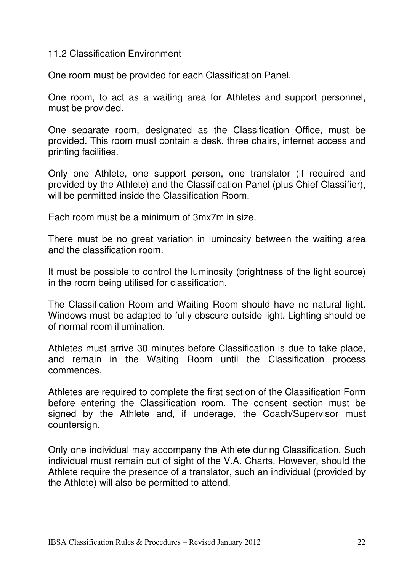#### 11.2 Classification Environment

One room must be provided for each Classification Panel.

One room, to act as a waiting area for Athletes and support personnel, must be provided.

One separate room, designated as the Classification Office, must be provided. This room must contain a desk, three chairs, internet access and printing facilities.

Only one Athlete, one support person, one translator (if required and provided by the Athlete) and the Classification Panel (plus Chief Classifier), will be permitted inside the Classification Room.

Each room must be a minimum of 3mx7m in size.

There must be no great variation in luminosity between the waiting area and the classification room.

It must be possible to control the luminosity (brightness of the light source) in the room being utilised for classification.

The Classification Room and Waiting Room should have no natural light. Windows must be adapted to fully obscure outside light. Lighting should be of normal room illumination.

Athletes must arrive 30 minutes before Classification is due to take place, and remain in the Waiting Room until the Classification process commences.

Athletes are required to complete the first section of the Classification Form before entering the Classification room. The consent section must be signed by the Athlete and, if underage, the Coach/Supervisor must countersign.

Only one individual may accompany the Athlete during Classification. Such individual must remain out of sight of the V.A. Charts. However, should the Athlete require the presence of a translator, such an individual (provided by the Athlete) will also be permitted to attend.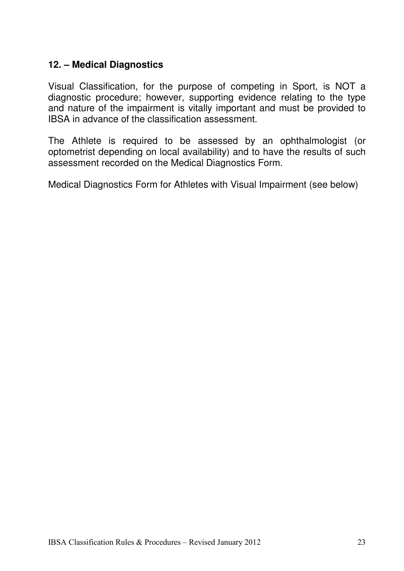### **12. – Medical Diagnostics**

Visual Classification, for the purpose of competing in Sport, is NOT a diagnostic procedure; however, supporting evidence relating to the type and nature of the impairment is vitally important and must be provided to IBSA in advance of the classification assessment.

The Athlete is required to be assessed by an ophthalmologist (or optometrist depending on local availability) and to have the results of such assessment recorded on the Medical Diagnostics Form.

Medical Diagnostics Form for Athletes with Visual Impairment (see below)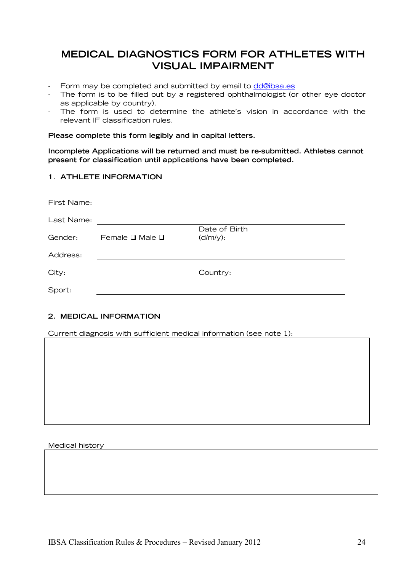## MEDICAL DIAGNOSTICS FORM FOR ATHLETES WITH VISUAL IMPAIRMENT

- Form may be completed and submitted by email to dd@ibsa.es
- The form is to be filled out by a registered ophthalmologist (or other eye doctor as applicable by country).
- The form is used to determine the athlete's vision in accordance with the relevant IF classification rules.

Please complete this form legibly and in capital letters.

Incomplete Applications will be returned and must be re-submitted. Athletes cannot present for classification until applications have been completed.

#### 1. ATHLETE INFORMATION

| First Name: |                                 |                              |  |
|-------------|---------------------------------|------------------------------|--|
| Last Name:  |                                 |                              |  |
| Gender:     | Female $\square$ Male $\square$ | Date of Birth<br>$(d/m/y)$ : |  |
|             |                                 |                              |  |
| Address:    |                                 |                              |  |
| City:       |                                 | Country:                     |  |
| Sport:      |                                 |                              |  |

#### 2. MEDICAL INFORMATION

Current diagnosis with sufficient medical information (see note 1):

Medical history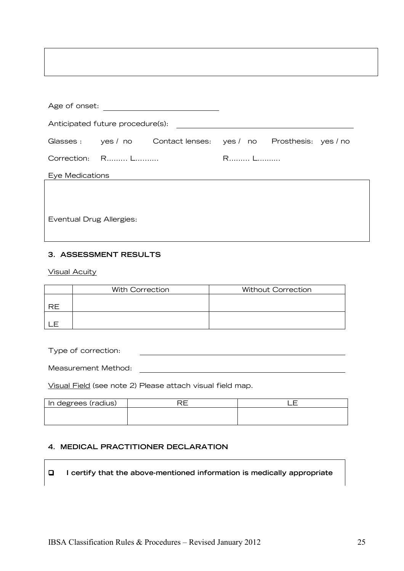| Age of onset:                    |                 |                                                                      |     |  |  |
|----------------------------------|-----------------|----------------------------------------------------------------------|-----|--|--|
| Anticipated future procedure(s): |                 |                                                                      |     |  |  |
|                                  |                 | Glasses : yes / no  Contact lenses : yes / no  Prosthesis : yes / no |     |  |  |
|                                  | Correction: R L |                                                                      | R L |  |  |
| Eye Medications                  |                 |                                                                      |     |  |  |
|                                  |                 |                                                                      |     |  |  |
| <b>Eventual Drug Allergies:</b>  |                 |                                                                      |     |  |  |

#### 3. ASSESSMENT RESULTS

Visual Acuity

|                | With Correction | <b>Without Correction</b> |
|----------------|-----------------|---------------------------|
| P <sub>F</sub> |                 |                           |
|                |                 |                           |

Type of correction:

Measurement Method:

Visual Field (see note 2) Please attach visual field map.

| In degrees (radius) |  |
|---------------------|--|
|                     |  |
|                     |  |

#### 4. MEDICAL PRACTITIONER DECLARATION

 $\Box$  I certify that the above-mentioned information is medically appropriate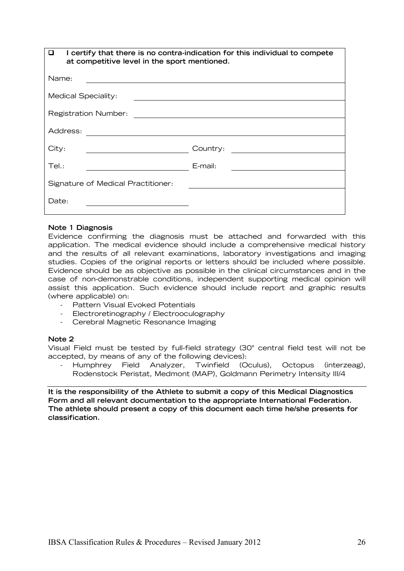| I certify that there is no contra-indication for this individual to compete<br>◻<br>at competitive level in the sport mentioned. |          |  |  |
|----------------------------------------------------------------------------------------------------------------------------------|----------|--|--|
| Name:                                                                                                                            |          |  |  |
| <b>Medical Speciality:</b>                                                                                                       |          |  |  |
| <b>Registration Number:</b>                                                                                                      |          |  |  |
| Address:                                                                                                                         |          |  |  |
| City:                                                                                                                            | Country: |  |  |
| Tel.:                                                                                                                            | E-mail:  |  |  |
| Signature of Medical Practitioner:                                                                                               |          |  |  |
| Date:                                                                                                                            |          |  |  |

#### Note 1 Diagnosis

Evidence confirming the diagnosis must be attached and forwarded with this application. The medical evidence should include a comprehensive medical history and the results of all relevant examinations, laboratory investigations and imaging studies. Copies of the original reports or letters should be included where possible. Evidence should be as objective as possible in the clinical circumstances and in the case of non-demonstrable conditions, independent supporting medical opinion will assist this application. Such evidence should include report and graphic results (where applicable) on:

- Pattern Visual Evoked Potentials
- Electroretinography / Electrooculography
- Cerebral Magnetic Resonance Imaging

#### Note 2

Visual Field must be tested by full-field strategy (30° central field test will not be accepted, by means of any of the following devices):

- Humphrey Field Analyzer, Twinfield (Oculus), Octopus (interzeag), Rodenstock Peristat, Medmont (MAP), Goldmann Perimetry Intensity III/4

It is the responsibility of the Athlete to submit a copy of this Medical Diagnostics Form and all relevant documentation to the appropriate International Federation. The athlete should present a copy of this document each time he/she presents for classification.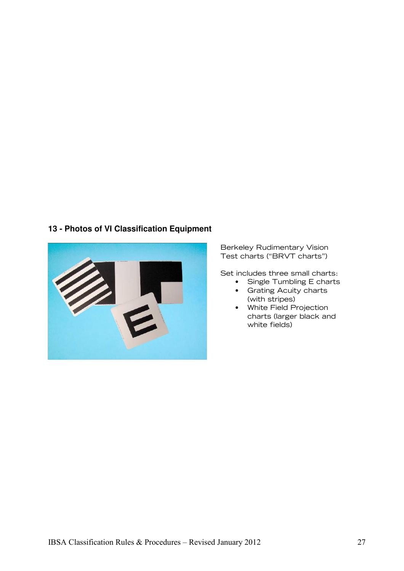#### **13 - Photos of VI Classification Equipment**



Berkeley Rudimentary Vision Test charts ("BRVT charts")

Set includes three small charts:

- Single Tumbling E charts
- Grating Acuity charts (with stripes)
- White Field Projection charts (larger black and white fields)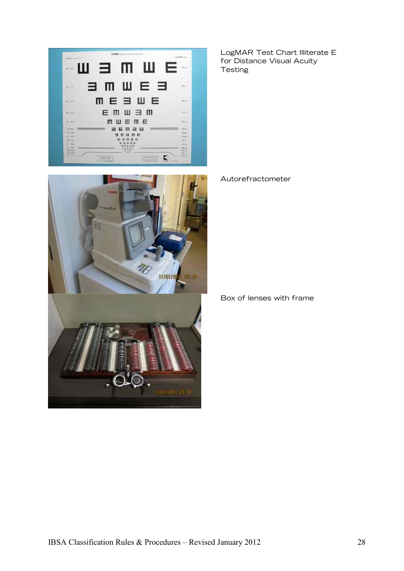



LogMAR Test Chart Illiterate E for Distance Visual Acuity **Testing** 

Autorefractometer

Box of lenses with frame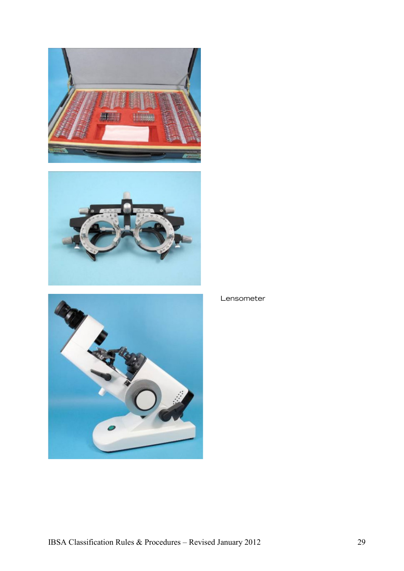





#### Lensometer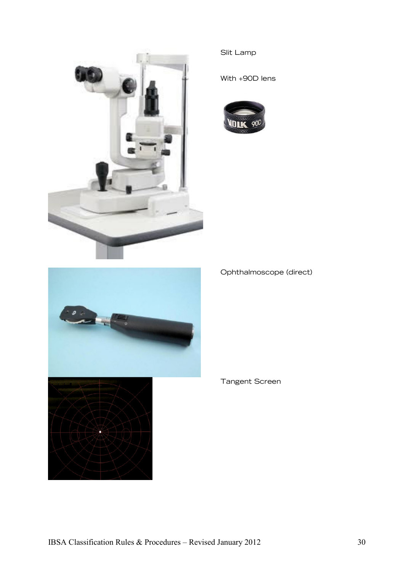

#### Slit Lamp

With +90D lens





#### Ophthalmoscope (direct)

#### Tangent Screen